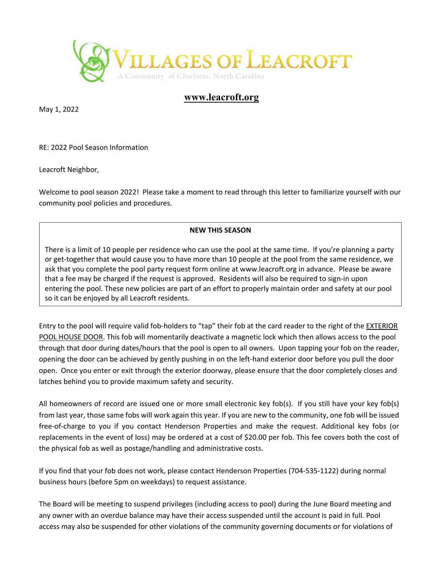

## **www.leacroft.org**

May 1, 2022

RE: 2022 Pool Season Information

Leacroft Neighbor,

Welcome to pool season 2022! Please take a moment to read through this letter to familiarize yourself with our community pool policies and procedures.

## **NEW THIS SEASON**

There is a limit of 10 people per residence who can use the pool at the same time. If you're planning a party or get-together that would cause you to have more than 10 people at the pool from the same residence, we ask that you complete the pool party request form online at www.leacroft.org in advance. Please be aware that a fee may be charged if the request is approved. Residents will also be required to sign‐in upon entering the pool. These new policies are part of an effort to properly maintain order and safety at our pool so it can be enjoyed by all Leacroft residents.

Entry to the pool will require valid fob‐holders to "tap" their fob at the card reader to the right of the EXTERIOR POOL HOUSE DOOR. This fob will momentarily deactivate a magnetic lock which then allows access to the pool through that door during dates/hours that the pool is open to all owners. Upon tapping your fob on the reader, opening the door can be achieved by gently pushing in on the left‐hand exterior door before you pull the door open. Once you enter or exit through the exterior doorway, please ensure that the door completely closes and latches behind you to provide maximum safety and security.

All homeowners of record are issued one or more small electronic key fob(s). If you still have your key fob(s) from last year, those same fobs will work again this year. If you are new to the community, one fob will be issued free-of-charge to you if you contact Henderson Properties and make the request. Additional key fobs (or replacements in the event of loss) may be ordered at a cost of \$20.00 per fob. This fee covers both the cost of the physical fob as well as postage/handling and administrative costs.

If you find that your fob does not work, please contact Henderson Properties (704‐535‐1122) during normal business hours (before 5pm on weekdays) to request assistance.

The Board will be meeting to suspend privileges (including access to pool) during the June Board meeting and any owner with an overdue balance may have their access suspended until the account is paid in full. Pool access may also be suspended for other violations of the community governing documents or for violations of